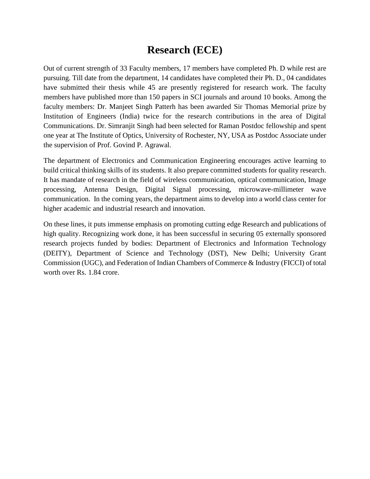## **Research (ECE)**

Out of current strength of 33 Faculty members, 17 members have completed Ph. D while rest are pursuing. Till date from the department, 14 candidates have completed their Ph. D., 04 candidates have submitted their thesis while 45 are presently registered for research work. The faculty members have published more than 150 papers in SCI journals and around 10 books. Among the faculty members: Dr. Manjeet Singh Patterh has been awarded Sir Thomas Memorial prize by Institution of Engineers (India) twice for the research contributions in the area of Digital Communications. Dr. Simranjit Singh had been selected for Raman Postdoc fellowship and spent one year at The Institute of Optics, University of Rochester, NY, USA as Postdoc Associate under the supervision of Prof. Govind P. Agrawal.

The department of Electronics and Communication Engineering encourages active learning to build critical thinking skills of its students. It also prepare committed students for quality research. It has mandate of research in the field of wireless communication, optical communication, Image processing, Antenna Design, Digital Signal processing, microwave-millimeter wave communication. In the coming years, the department aims to develop into a world class center for higher academic and industrial research and innovation.

On these lines, it puts immense emphasis on promoting cutting edge Research and publications of high quality. Recognizing work done, it has been successful in securing 05 externally sponsored research projects funded by bodies: Department of Electronics and Information Technology (DEITY), Department of Science and Technology (DST), New Delhi; University Grant Commission (UGC), and Federation of Indian Chambers of Commerce & Industry (FICCI) of total worth over Rs. 1.84 crore.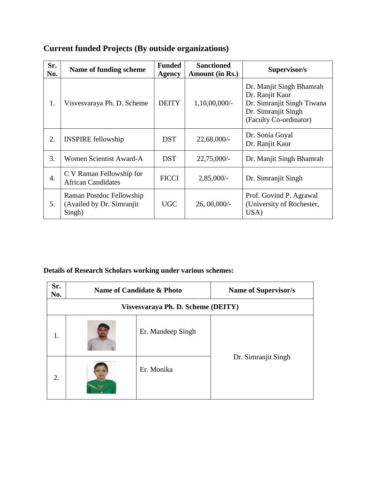| Sr.<br>No. | Name of funding scheme                                           | <b>Funded</b><br><b>Agency</b> | <b>Sanctioned</b><br>Amount (in Rs.) | Supervisor/s                                                                                                               |
|------------|------------------------------------------------------------------|--------------------------------|--------------------------------------|----------------------------------------------------------------------------------------------------------------------------|
| 1.         | Visvesvaraya Ph. D. Scheme                                       | <b>DEITY</b>                   | $1,10,00,000/$ -                     | Dr. Manjit Singh Bhamrah<br>Dr. Ranjit Kaur<br>Dr. Simranjit Singh Tiwana<br>Dr. Simranjit Singh<br>(Faculty Co-ordinator) |
| 2.         | <b>INSPIRE</b> fellowship                                        | <b>DST</b>                     | $22,68,000/$ -                       | Dr. Sonia Goyal<br>Dr. Ranjit Kaur                                                                                         |
| 3.         | Women Scientist Award-A                                          | <b>DST</b>                     | $22,75,000/$ -                       | Dr. Manjit Singh Bhamrah                                                                                                   |
| 4.         | C V Raman Fellowship for<br><b>African Candidates</b>            | <b>FICCI</b>                   | $2,85,000/-$                         | Dr. Simranjit Singh                                                                                                        |
| 5.         | Raman Postdoc Fellowship<br>(Availed by Dr. Simranjit)<br>Singh) | <b>UGC</b>                     | 26,00,000/                           | Prof. Govind P. Agrawal<br>(University of Rochester,<br>USA)                                                               |

## **Current funded Projects (By outside organizations)**

## **Details of Research Scholars working under various schemes:**

| Sr.<br>No. |                                    | Name of Candidate & Photo | <b>Name of Supervisor/s</b> |  |
|------------|------------------------------------|---------------------------|-----------------------------|--|
|            | Visvesvaraya Ph. D. Scheme (DEITY) |                           |                             |  |
| 1.         |                                    | Er. Mandeep Singh         |                             |  |
| 2.         |                                    | Er. Monika                | Dr. Simranjit Singh         |  |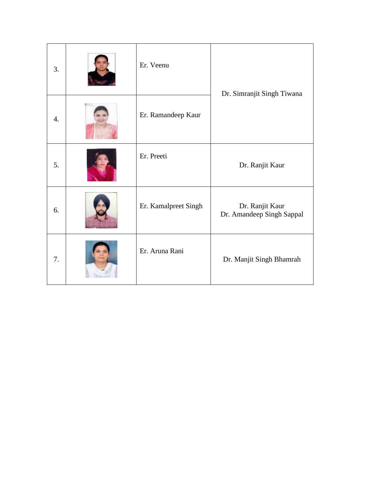| 3. | Er. Veenu            | Dr. Simranjit Singh Tiwana                   |
|----|----------------------|----------------------------------------------|
| 4. | Er. Ramandeep Kaur   |                                              |
| 5. | Er. Preeti           | Dr. Ranjit Kaur                              |
| 6. | Er. Kamalpreet Singh | Dr. Ranjit Kaur<br>Dr. Amandeep Singh Sappal |
| 7. | Er. Aruna Rani       | Dr. Manjit Singh Bhamrah                     |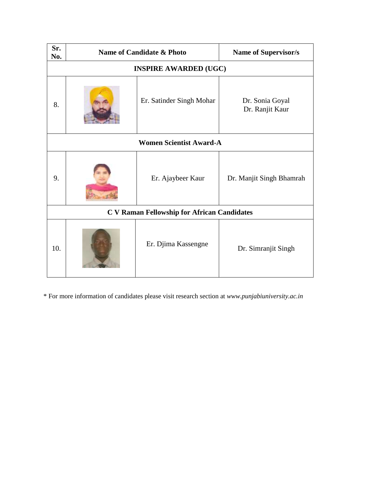| Sr.<br>No.                                         | Name of Candidate & Photo |                          | <b>Name of Supervisor/s</b>        |
|----------------------------------------------------|---------------------------|--------------------------|------------------------------------|
| <b>INSPIRE AWARDED (UGC)</b>                       |                           |                          |                                    |
| 8.                                                 |                           | Er. Satinder Singh Mohar | Dr. Sonia Goyal<br>Dr. Ranjit Kaur |
| <b>Women Scientist Award-A</b>                     |                           |                          |                                    |
| 9.                                                 |                           | Er. Ajaybeer Kaur        | Dr. Manjit Singh Bhamrah           |
| <b>C V Raman Fellowship for African Candidates</b> |                           |                          |                                    |
| 10.                                                |                           | Er. Djima Kassengne      | Dr. Simranjit Singh                |

\* For more information of candidates please visit research section at *www.punjabiuniversity.ac.in*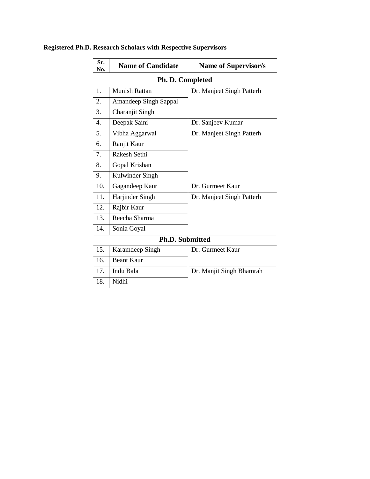| Sr.<br>No.             | <b>Name of Candidate</b>     | <b>Name of Supervisor/s</b> |  |  |
|------------------------|------------------------------|-----------------------------|--|--|
|                        | Ph. D. Completed             |                             |  |  |
| 1.                     | <b>Munish Rattan</b>         | Dr. Manjeet Singh Patterh   |  |  |
| 2.                     | <b>Amandeep Singh Sappal</b> |                             |  |  |
| 3.                     | Charanjit Singh              |                             |  |  |
| 4.                     | Deepak Saini                 | Dr. Sanjeev Kumar           |  |  |
| 5.                     | Vibha Aggarwal               | Dr. Manjeet Singh Patterh   |  |  |
| 6.                     | Ranjit Kaur                  |                             |  |  |
| 7.                     | Rakesh Sethi                 |                             |  |  |
| 8.                     | Gopal Krishan                |                             |  |  |
| 9.                     | Kulwinder Singh              |                             |  |  |
| 10.                    | Gagandeep Kaur               | Dr. Gurmeet Kaur            |  |  |
| 11.                    | Harjinder Singh              | Dr. Manjeet Singh Patterh   |  |  |
| 12.                    | Rajbir Kaur                  |                             |  |  |
| 13.                    | Reecha Sharma                |                             |  |  |
| 14.                    | Sonia Goyal                  |                             |  |  |
| <b>Ph.D. Submitted</b> |                              |                             |  |  |
| 15.                    | Karamdeep Singh              | Dr. Gurmeet Kaur            |  |  |
| 16.                    | <b>Beant Kaur</b>            |                             |  |  |
| 17.                    | Indu Bala                    | Dr. Manjit Singh Bhamrah    |  |  |
| 18.                    | Nidhi                        |                             |  |  |

## **Registered Ph.D. Research Scholars with Respective Supervisors**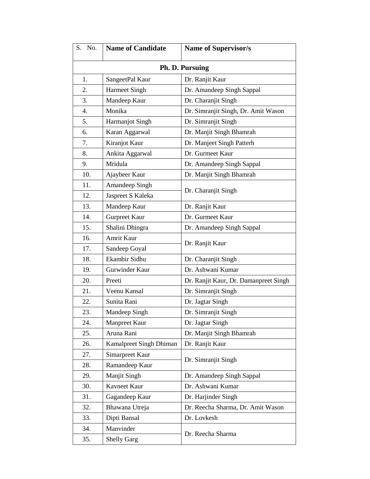| S.<br>No.                 | <b>Name of Candidate</b> | <b>Name of Supervisor/s</b>           |  |
|---------------------------|--------------------------|---------------------------------------|--|
| Ph. D. Pursuing           |                          |                                       |  |
| 1.                        | SangeetPal Kaur          | Dr. Ranjit Kaur                       |  |
| 2.                        | <b>Harmeet Singh</b>     | Dr. Amandeep Singh Sappal             |  |
| 3.                        | Mandeep Kaur             | Dr. Charanjit Singh                   |  |
| 4.                        | Monika                   | Dr. Simranjit Singh, Dr. Amit Wason   |  |
| 5.                        | Harmanjot Singh          | Dr. Simranjit Singh                   |  |
| 6.                        | Karan Aggarwal           | Dr. Manjit Singh Bhamrah              |  |
| 7.                        | Kiranjot Kaur            | Dr. Manjeet Singh Patterh             |  |
| 8.                        | Ankita Aggarwal          | Dr. Gurmeet Kaur                      |  |
| 9.                        | Mridula                  | Dr. Amandeep Singh Sappal             |  |
| 10.                       | Ajaybeer Kaur            | Dr. Manjit Singh Bhamrah              |  |
| 11.                       | Amandeep Singh           |                                       |  |
| 12.                       | Jaspreet S Kaleka        | Dr. Charanjit Singh                   |  |
| 13.                       | Mandeep Kaur             | Dr. Ranjit Kaur                       |  |
| 14.                       | <b>Gurpreet Kaur</b>     | Dr. Gurmeet Kaur                      |  |
| 15.                       | Shalini Dhingra          | Dr. Amandeep Singh Sappal             |  |
| 16.                       | Amrit Kaur               |                                       |  |
| 17.                       | Sandeep Goyal            | Dr. Ranjit Kaur                       |  |
| 18.                       | Ekambir Sidhu            | Dr. Charanjit Singh                   |  |
| 19.                       | Gurwinder Kaur           | Dr. Ashwani Kumar                     |  |
| 20.                       | Preeti                   | Dr. Ranjit Kaur, Dr. Damanpreet Singh |  |
| 21.                       | Veenu Kansal             | Dr. Simranjit Singh                   |  |
| 22.                       | Sunita Rani              | Dr. Jagtar Singh                      |  |
| 23.                       | Mandeep Singh            | Dr. Simranjit Singh                   |  |
| 24.                       | <b>Manpreet Kaur</b>     | Dr. Jagtar Singh                      |  |
| 25.                       | Aruna Rani               | Dr. Manjit Singh Bhamrah              |  |
| 26.                       | Kamalpreet Singh Dhiman  | Dr. Ranjit Kaur                       |  |
| 27.                       | Simarpreet Kaur          | Dr. Simranjit Singh                   |  |
| 28.                       | Ramandeep Kaur           |                                       |  |
| 29.                       | <b>Manjit Singh</b>      | Dr. Amandeep Singh Sappal             |  |
| 30.                       | Kavneet Kaur             | Dr. Ashwani Kumar                     |  |
| 31.                       | Gagandeep Kaur           | Dr. Harjinder Singh                   |  |
| 32.                       | Bhawana Utreja           | Dr. Reecha Sharma, Dr. Amit Wason     |  |
| 33.                       | Dipti Bansal             | Dr. Lovkesh                           |  |
| 34.                       | Manvinder                |                                       |  |
| <b>Shelly Garg</b><br>35. |                          | Dr. Reecha Sharma                     |  |